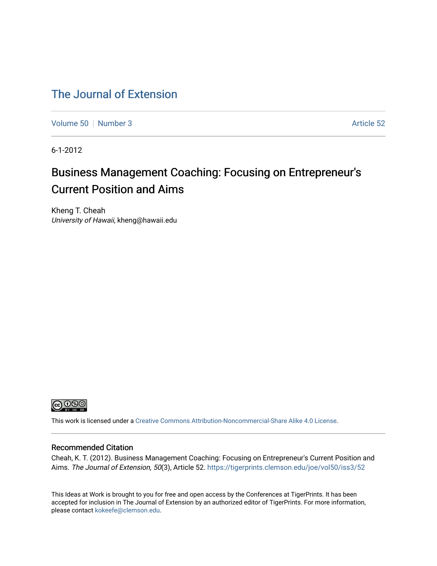# [The Journal of Extension](https://tigerprints.clemson.edu/joe)

[Volume 50](https://tigerprints.clemson.edu/joe/vol50) [Number 3](https://tigerprints.clemson.edu/joe/vol50/iss3) Article 52

6-1-2012

# Business Management Coaching: Focusing on Entrepreneur's Current Position and Aims

Kheng T. Cheah University of Hawaii, kheng@hawaii.edu



This work is licensed under a [Creative Commons Attribution-Noncommercial-Share Alike 4.0 License.](https://creativecommons.org/licenses/by-nc-sa/4.0/)

#### Recommended Citation

Cheah, K. T. (2012). Business Management Coaching: Focusing on Entrepreneur's Current Position and Aims. The Journal of Extension, 50(3), Article 52. https://tigerprints.clemson.edu/joe/vol50/iss3/52

This Ideas at Work is brought to you for free and open access by the Conferences at TigerPrints. It has been accepted for inclusion in The Journal of Extension by an authorized editor of TigerPrints. For more information, please contact [kokeefe@clemson.edu](mailto:kokeefe@clemson.edu).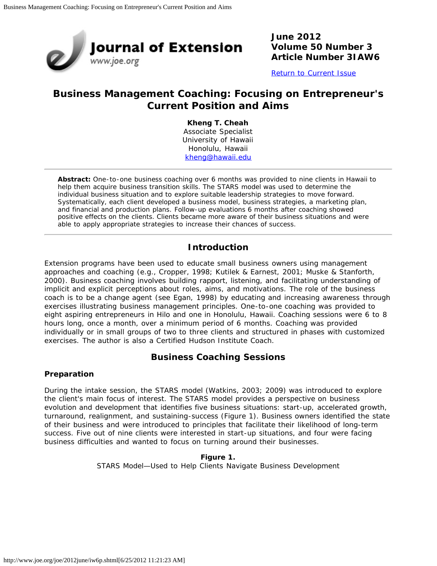

**June 2012 Volume 50 Number 3 Article Number 3IAW6**

[Return to Current Issue](http://www.joe.org/joe/2012june/)

# **Business Management Coaching: Focusing on Entrepreneur's Current Position and Aims**

**Kheng T. Cheah** Associate Specialist University of Hawaii Honolulu, Hawaii [kheng@hawaii.edu](mailto:kheng@hawaii.edu)

*Abstract: One-to-one business coaching over 6 months was provided to nine clients in Hawaii to help them acquire business transition skills. The STARS model was used to determine the individual business situation and to explore suitable leadership strategies to move forward. Systematically, each client developed a business model, business strategies, a marketing plan, and financial and production plans. Follow-up evaluations 6 months after coaching showed positive effects on the clients. Clients became more aware of their business situations and were able to apply appropriate strategies to increase their chances of success.*

## **Introduction**

Extension programs have been used to educate small business owners using management approaches and coaching (e.g., Cropper, 1998; Kutilek & Earnest, 2001; Muske & Stanforth, 2000). Business coaching involves building rapport, listening, and facilitating understanding of implicit and explicit perceptions about roles, aims, and motivations. The role of the business coach is to be a change agent (see Egan, 1998) by educating and increasing awareness through exercises illustrating business management principles. One-to-one coaching was provided to eight aspiring entrepreneurs in Hilo and one in Honolulu, Hawaii. Coaching sessions were 6 to 8 hours long, once a month, over a minimum period of 6 months. Coaching was provided individually or in small groups of two to three clients and structured in phases with customized exercises. The author is also a Certified Hudson Institute Coach.

## **Business Coaching Sessions**

#### **Preparation**

During the intake session, the STARS model (Watkins, 2003; 2009) was introduced to explore the client's main focus of interest. The STARS model provides a perspective on business evolution and development that identifies five business situations: start-up, accelerated growth, turnaround, realignment, and sustaining-success (Figure 1). Business owners identified the state of their business and were introduced to principles that facilitate their likelihood of long-term success. Five out of nine clients were interested in start-up situations, and four were facing business difficulties and wanted to focus on turning around their businesses.

#### **Figure 1.**

STARS Model—Used to Help Clients Navigate Business Development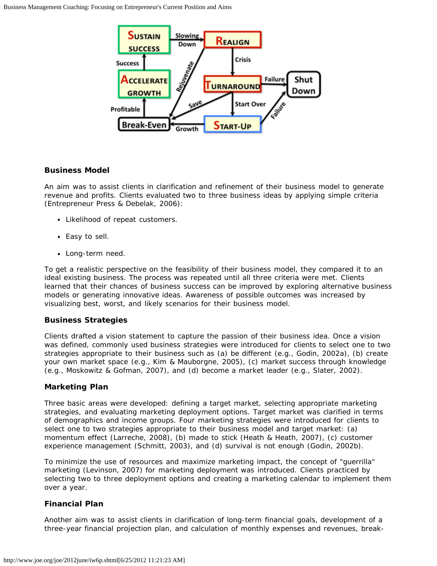

#### **Business Model**

An aim was to assist clients in clarification and refinement of their business model to generate revenue and profits. Clients evaluated two to three business ideas by applying simple criteria (Entrepreneur Press & Debelak, 2006):

- Likelihood of repeat customers.
- Easy to sell.
- Long-term need.

To get a realistic perspective on the feasibility of their business model, they compared it to an ideal existing business. The process was repeated until all three criteria were met. Clients learned that their chances of business success can be improved by exploring alternative business models or generating innovative ideas. Awareness of possible outcomes was increased by visualizing best, worst, and likely scenarios for their business model.

#### **Business Strategies**

Clients drafted a vision statement to capture the passion of their business idea. Once a vision was defined, commonly used business strategies were introduced for clients to select one to two strategies appropriate to their business such as (a) be different (e.g., Godin, 2002a), (b) create your own market space (e.g., Kim & Mauborgne, 2005), (c) market success through knowledge (e.g., Moskowitz & Gofman, 2007), and (d) become a market leader (e.g., Slater, 2002).

#### **Marketing Plan**

Three basic areas were developed: defining a target market, selecting appropriate marketing strategies, and evaluating marketing deployment options. Target market was clarified in terms of demographics and income groups. Four marketing strategies were introduced for clients to select one to two strategies appropriate to their business model and target market: (a) momentum effect (Larreche, 2008), (b) made to stick (Heath & Heath, 2007), (c) customer experience management (Schmitt, 2003), and (d) survival is not enough (Godin, 2002b).

To minimize the use of resources and maximize marketing impact, the concept of "guerrilla" marketing (Levinson, 2007) for marketing deployment was introduced. Clients practiced by selecting two to three deployment options and creating a marketing calendar to implement them over a year.

#### **Financial Plan**

Another aim was to assist clients in clarification of long-term financial goals, development of a three-year financial projection plan, and calculation of monthly expenses and revenues, break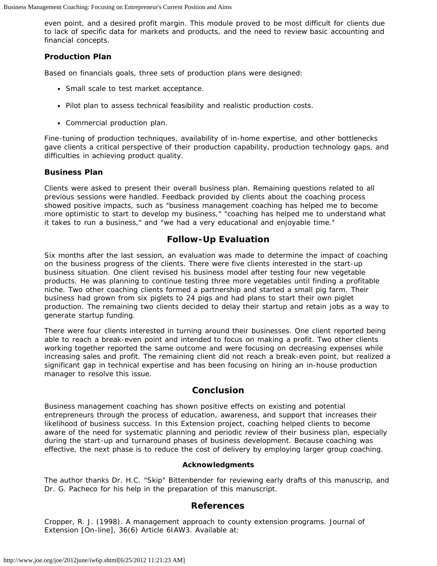even point, and a desired profit margin. This module proved to be most difficult for clients due to lack of specific data for markets and products, and the need to review basic accounting and financial concepts.

#### **Production Plan**

Based on financials goals, three sets of production plans were designed:

- Small scale to test market acceptance.
- Pilot plan to assess technical feasibility and realistic production costs.
- Commercial production plan.

Fine-tuning of production techniques, availability of in-home expertise, and other bottlenecks gave clients a critical perspective of their production capability, production technology gaps, and difficulties in achieving product quality.

#### **Business Plan**

Clients were asked to present their overall business plan. Remaining questions related to all previous sessions were handled. Feedback provided by clients about the coaching process showed positive impacts, such as "business management coaching has helped me to become more optimistic to start to develop my business," "coaching has helped me to understand what it takes to run a business," and "we had a very educational and enjoyable time."

## **Follow-Up Evaluation**

Six months after the last session, an evaluation was made to determine the impact of coaching on the business progress of the clients. There were five clients interested in the start-up business situation. One client revised his business model after testing four new vegetable products. He was planning to continue testing three more vegetables until finding a profitable niche. Two other coaching clients formed a partnership and started a small pig farm. Their business had grown from six piglets to 24 pigs and had plans to start their own piglet production. The remaining two clients decided to delay their startup and retain jobs as a way to generate startup funding.

There were four clients interested in turning around their businesses. One client reported being able to reach a break-even point and intended to focus on making a profit. Two other clients working together reported the same outcome and were focusing on decreasing expenses while increasing sales and profit. The remaining client did not reach a break-even point, but realized a significant gap in technical expertise and has been focusing on hiring an in-house production manager to resolve this issue.

#### **Conclusion**

Business management coaching has shown positive effects on existing and potential entrepreneurs through the process of education, awareness, and support that increases their likelihood of business success. In this Extension project, coaching helped clients to become aware of the need for systematic planning and periodic review of their business plan, especially during the start-up and turnaround phases of business development. Because coaching was effective, the next phase is to reduce the cost of delivery by employing larger group coaching.

#### **Acknowledgments**

The author thanks Dr. H.C. "Skip" Bittenbender for reviewing early drafts of this manuscrip, and Dr. G. Pacheco for his help in the preparation of this manuscript.

#### **References**

Cropper, R. J. (1998). A management approach to county extension programs. *Journal of Extension* [On-line], 36(6) Article 6IAW3. Available at: